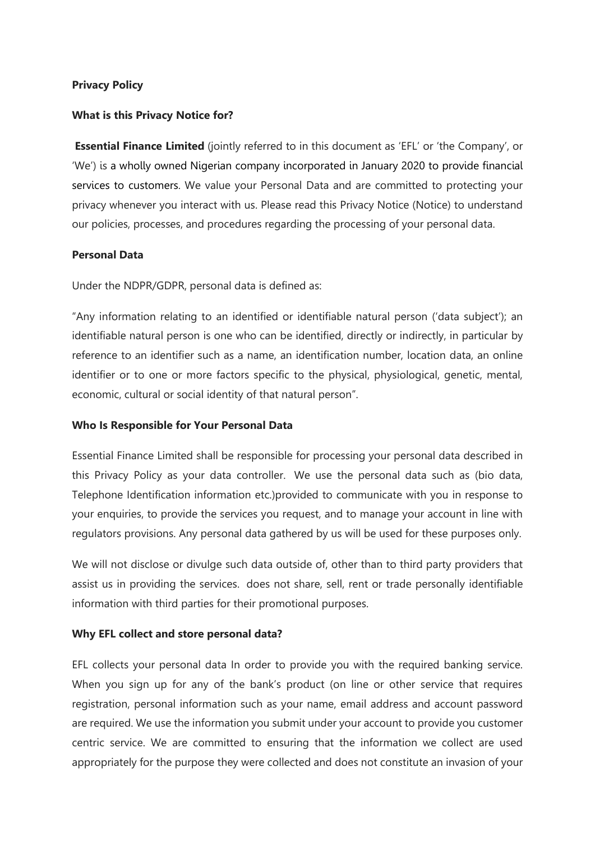#### **Privacy Policy**

### **What is this Privacy Notice for?**

**Essential Finance Limited** (jointly referred to in this document as 'EFL' or 'the Company', or 'We') is a wholly owned Nigerian company incorporated in January 2020 to provide financial services to customers. We value your Personal Data and are committed to protecting your privacy whenever you interact with us. Please read this Privacy Notice (Notice) to understand our policies, processes, and procedures regarding the processing of your personal data.

### **Personal Data**

Under the NDPR/GDPR, personal data is defined as:

"Any information relating to an identified or identifiable natural person ('data subject'); an identifiable natural person is one who can be identified, directly or indirectly, in particular by reference to an identifier such as a name, an identification number, location data, an online identifier or to one or more factors specific to the physical, physiological, genetic, mental, economic, cultural or social identity of that natural person".

#### **Who Is Responsible for Your Personal Data**

Essential Finance Limited shall be responsible for processing your personal data described in this Privacy Policy as your data controller. We use the personal data such as (bio data, Telephone Identification information etc.)provided to communicate with you in response to your enquiries, to provide the services you request, and to manage your account in line with regulators provisions. Any personal data gathered by us will be used for these purposes only.

We will not disclose or divulge such data outside of, other than to third party providers that assist us in providing the services. does not share, sell, rent or trade personally identifiable information with third parties for their promotional purposes.

# **Why EFL collect and store personal data?**

EFL collects your personal data In order to provide you with the required banking service. When you sign up for any of the bank's product (on line or other service that requires registration, personal information such as your name, email address and account password are required. We use the information you submit under your account to provide you customer centric service. We are committed to ensuring that the information we collect are used appropriately for the purpose they were collected and does not constitute an invasion of your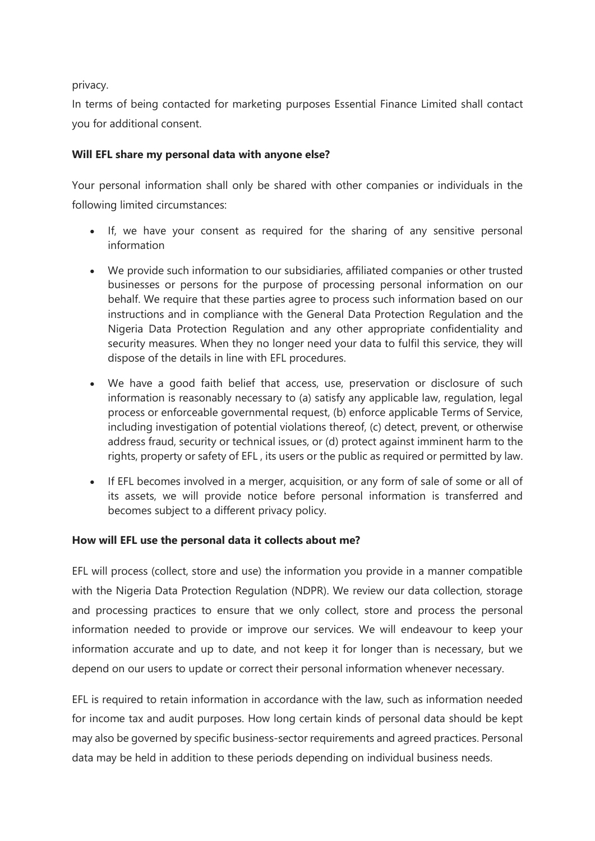privacy.

In terms of being contacted for marketing purposes Essential Finance Limited shall contact you for additional consent.

### **Will EFL share my personal data with anyone else?**

Your personal information shall only be shared with other companies or individuals in the following limited circumstances:

- If, we have your consent as required for the sharing of any sensitive personal information
- We provide such information to our subsidiaries, affiliated companies or other trusted businesses or persons for the purpose of processing personal information on our behalf. We require that these parties agree to process such information based on our instructions and in compliance with the General Data Protection Regulation and the Nigeria Data Protection Regulation and any other appropriate confidentiality and security measures. When they no longer need your data to fulfil this service, they will dispose of the details in line with EFL procedures.
- We have a good faith belief that access, use, preservation or disclosure of such information is reasonably necessary to (a) satisfy any applicable law, regulation, legal process or enforceable governmental request, (b) enforce applicable Terms of Service, including investigation of potential violations thereof, (c) detect, prevent, or otherwise address fraud, security or technical issues, or (d) protect against imminent harm to the rights, property or safety of EFL , its users or the public as required or permitted by law.
- If EFL becomes involved in a merger, acquisition, or any form of sale of some or all of its assets, we will provide notice before personal information is transferred and becomes subject to a different privacy policy.

# **How will EFL use the personal data it collects about me?**

EFL will process (collect, store and use) the information you provide in a manner compatible with the Nigeria Data Protection Regulation (NDPR). We review our data collection, storage and processing practices to ensure that we only collect, store and process the personal information needed to provide or improve our services. We will endeavour to keep your information accurate and up to date, and not keep it for longer than is necessary, but we depend on our users to update or correct their personal information whenever necessary.

EFL is required to retain information in accordance with the law, such as information needed for income tax and audit purposes. How long certain kinds of personal data should be kept may also be governed by specific business-sector requirements and agreed practices. Personal data may be held in addition to these periods depending on individual business needs.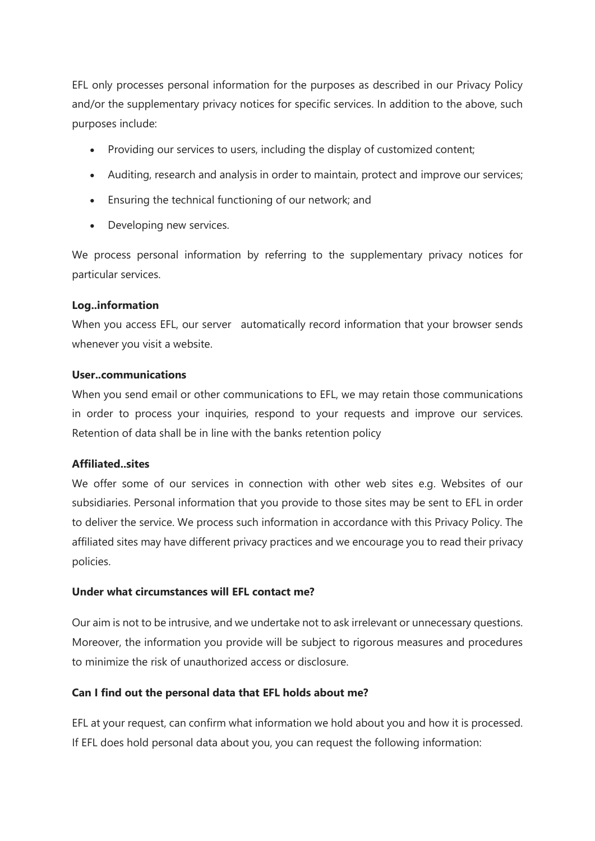EFL only processes personal information for the purposes as described in our Privacy Policy and/or the supplementary privacy notices for specific services. In addition to the above, such purposes include:

- Providing our services to users, including the display of customized content;
- Auditing, research and analysis in order to maintain, protect and improve our services;
- Ensuring the technical functioning of our network; and
- Developing new services.

We process personal information by referring to the supplementary privacy notices for particular services.

### **Log..information**

When you access EFL, our server automatically record information that your browser sends whenever you visit a website.

### **User..communications**

When you send email or other communications to EFL, we may retain those communications in order to process your inquiries, respond to your requests and improve our services. Retention of data shall be in line with the banks retention policy

# **Affiliated..sites**

We offer some of our services in connection with other web sites e.g. Websites of our subsidiaries. Personal information that you provide to those sites may be sent to EFL in order to deliver the service. We process such information in accordance with this Privacy Policy. The affiliated sites may have different privacy practices and we encourage you to read their privacy policies.

# **Under what circumstances will EFL contact me?**

Our aim is not to be intrusive, and we undertake not to ask irrelevant or unnecessary questions. Moreover, the information you provide will be subject to rigorous measures and procedures to minimize the risk of unauthorized access or disclosure.

# **Can I find out the personal data that EFL holds about me?**

EFL at your request, can confirm what information we hold about you and how it is processed. If EFL does hold personal data about you, you can request the following information: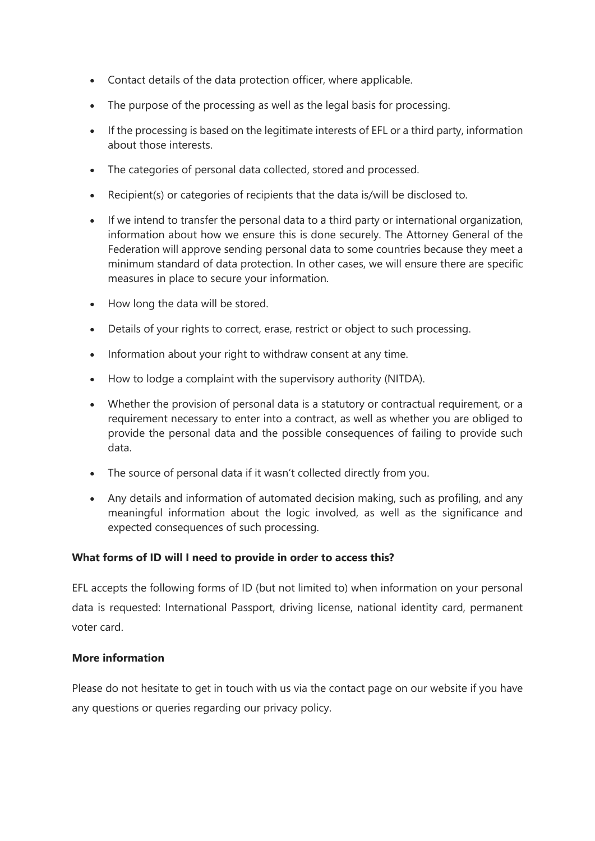- Contact details of the data protection officer, where applicable.
- The purpose of the processing as well as the legal basis for processing.
- If the processing is based on the legitimate interests of EFL or a third party, information about those interests.
- The categories of personal data collected, stored and processed.
- Recipient(s) or categories of recipients that the data is/will be disclosed to.
- If we intend to transfer the personal data to a third party or international organization, information about how we ensure this is done securely. The Attorney General of the Federation will approve sending personal data to some countries because they meet a minimum standard of data protection. In other cases, we will ensure there are specific measures in place to secure your information.
- How long the data will be stored.
- Details of your rights to correct, erase, restrict or object to such processing.
- Information about your right to withdraw consent at any time.
- How to lodge a complaint with the supervisory authority (NITDA).
- Whether the provision of personal data is a statutory or contractual requirement, or a requirement necessary to enter into a contract, as well as whether you are obliged to provide the personal data and the possible consequences of failing to provide such data.
- The source of personal data if it wasn't collected directly from you.
- Any details and information of automated decision making, such as profiling, and any meaningful information about the logic involved, as well as the significance and expected consequences of such processing.

# **What forms of ID will I need to provide in order to access this?**

EFL accepts the following forms of ID (but not limited to) when information on your personal data is requested: International Passport, driving license, national identity card, permanent voter card.

# **More information**

Please do not hesitate to get in touch with us via the contact page on our website if you have any questions or queries regarding our privacy policy.